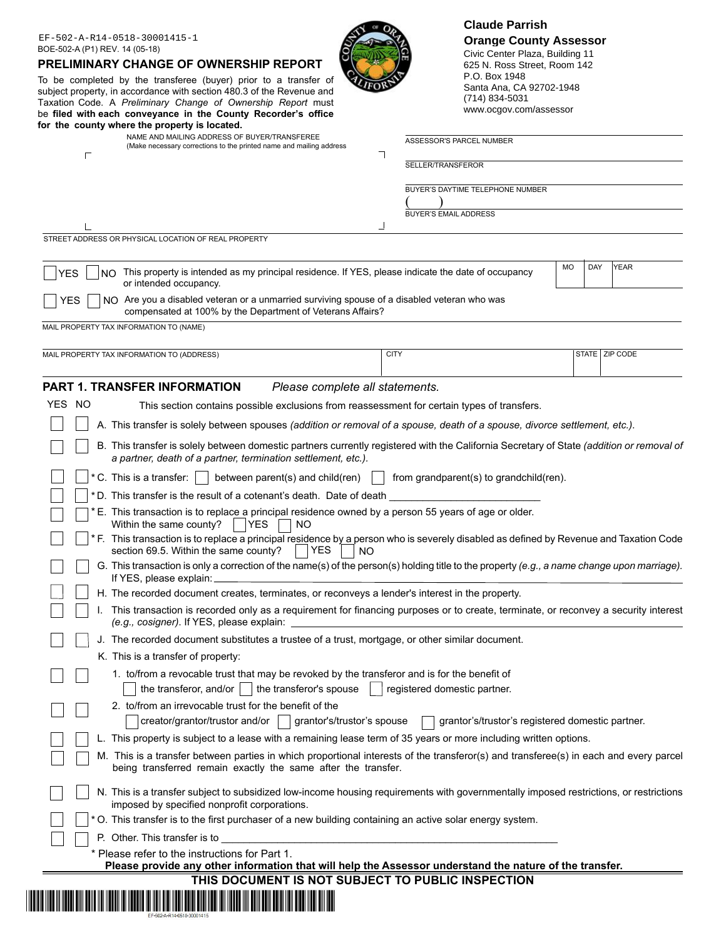| EF-502-A-R14-0518-30001415-1<br>BOE-502-A (P1) REV. 14 (05-18)<br><b>PRELIMINARY CHANGE OF OWNERSHIP REPORT</b><br>To be completed by the transferee (buyer) prior to a transfer of<br>subject property, in accordance with section 480.3 of the Revenue and<br>Taxation Code. A Preliminary Change of Ownership Report must<br>be filed with each conveyance in the County Recorder's office<br>for the county where the property is located.<br>NAME AND MAILING ADDRESS OF BUYER/TRANSFEREE<br>(Make necessary corrections to the printed name and mailing address |             | P.O. Box 1948<br>Santa Ana, CA 92702-1948<br>(714) 834-5031<br>www.ocgov.com/assessor<br>ASSESSOR'S PARCEL NUMBER | <b>Claude Parrish</b><br><b>Orange County Assessor</b><br>Civic Center Plaza, Building 11<br>625 N. Ross Street, Room 142 |                  |  |
|-----------------------------------------------------------------------------------------------------------------------------------------------------------------------------------------------------------------------------------------------------------------------------------------------------------------------------------------------------------------------------------------------------------------------------------------------------------------------------------------------------------------------------------------------------------------------|-------------|-------------------------------------------------------------------------------------------------------------------|---------------------------------------------------------------------------------------------------------------------------|------------------|--|
| Г                                                                                                                                                                                                                                                                                                                                                                                                                                                                                                                                                                     | ┑           | SELLER/TRANSFEROR<br>BUYER'S DAYTIME TELEPHONE NUMBER                                                             |                                                                                                                           |                  |  |
|                                                                                                                                                                                                                                                                                                                                                                                                                                                                                                                                                                       |             |                                                                                                                   |                                                                                                                           |                  |  |
|                                                                                                                                                                                                                                                                                                                                                                                                                                                                                                                                                                       |             |                                                                                                                   |                                                                                                                           |                  |  |
|                                                                                                                                                                                                                                                                                                                                                                                                                                                                                                                                                                       | ┙           | <b>BUYER'S EMAIL ADDRESS</b>                                                                                      |                                                                                                                           |                  |  |
| STREET ADDRESS OR PHYSICAL LOCATION OF REAL PROPERTY                                                                                                                                                                                                                                                                                                                                                                                                                                                                                                                  |             |                                                                                                                   |                                                                                                                           |                  |  |
| NO This property is intended as my principal residence. If YES, please indicate the date of occupancy<br><b>YES</b><br>or intended occupancy.                                                                                                                                                                                                                                                                                                                                                                                                                         |             | MO                                                                                                                | DAY                                                                                                                       | <b>YEAR</b>      |  |
| YES<br>NO Are you a disabled veteran or a unmarried surviving spouse of a disabled veteran who was<br>compensated at 100% by the Department of Veterans Affairs?                                                                                                                                                                                                                                                                                                                                                                                                      |             |                                                                                                                   |                                                                                                                           |                  |  |
| MAIL PROPERTY TAX INFORMATION TO (NAME)                                                                                                                                                                                                                                                                                                                                                                                                                                                                                                                               |             |                                                                                                                   |                                                                                                                           |                  |  |
|                                                                                                                                                                                                                                                                                                                                                                                                                                                                                                                                                                       | <b>CITY</b> |                                                                                                                   |                                                                                                                           | STATE   ZIP CODE |  |
| MAIL PROPERTY TAX INFORMATION TO (ADDRESS)                                                                                                                                                                                                                                                                                                                                                                                                                                                                                                                            |             |                                                                                                                   |                                                                                                                           |                  |  |
| <b>PART 1. TRANSFER INFORMATION</b><br>Please complete all statements.                                                                                                                                                                                                                                                                                                                                                                                                                                                                                                |             |                                                                                                                   |                                                                                                                           |                  |  |
| YES NO<br>This section contains possible exclusions from reassessment for certain types of transfers.                                                                                                                                                                                                                                                                                                                                                                                                                                                                 |             |                                                                                                                   |                                                                                                                           |                  |  |
| A. This transfer is solely between spouses (addition or removal of a spouse, death of a spouse, divorce settlement, etc.).                                                                                                                                                                                                                                                                                                                                                                                                                                            |             |                                                                                                                   |                                                                                                                           |                  |  |
| B. This transfer is solely between domestic partners currently registered with the California Secretary of State (addition or removal of                                                                                                                                                                                                                                                                                                                                                                                                                              |             |                                                                                                                   |                                                                                                                           |                  |  |
| a partner, death of a partner, termination settlement, etc.).                                                                                                                                                                                                                                                                                                                                                                                                                                                                                                         |             |                                                                                                                   |                                                                                                                           |                  |  |
| * C. This is a transfer:<br>between parent(s) and child(ren)                                                                                                                                                                                                                                                                                                                                                                                                                                                                                                          |             | from grandparent(s) to grandchild(ren).                                                                           |                                                                                                                           |                  |  |
| *D. This transfer is the result of a cotenant's death. Date of death                                                                                                                                                                                                                                                                                                                                                                                                                                                                                                  |             |                                                                                                                   |                                                                                                                           |                  |  |
| * E. This transaction is to replace a principal residence owned by a person 55 years of age or older.<br><b>YES</b><br>NO.                                                                                                                                                                                                                                                                                                                                                                                                                                            |             |                                                                                                                   |                                                                                                                           |                  |  |
| Within the same county?<br>* F. This transaction is to replace a principal residence by a person who is severely disabled as defined by Revenue and Taxation Code                                                                                                                                                                                                                                                                                                                                                                                                     |             |                                                                                                                   |                                                                                                                           |                  |  |
|                                                                                                                                                                                                                                                                                                                                                                                                                                                                                                                                                                       |             |                                                                                                                   |                                                                                                                           |                  |  |
| section 69.5. Within the same county? $\Box$ YES $\Box$ NO<br>G. This transaction is only a correction of the name(s) of the person(s) holding title to the property (e.g., a name change upon marriage).<br>If YES, please explain:                                                                                                                                                                                                                                                                                                                                  |             |                                                                                                                   |                                                                                                                           |                  |  |
| H. The recorded document creates, terminates, or reconveys a lender's interest in the property.                                                                                                                                                                                                                                                                                                                                                                                                                                                                       |             |                                                                                                                   |                                                                                                                           |                  |  |
| I. This transaction is recorded only as a requirement for financing purposes or to create, terminate, or reconvey a security interest                                                                                                                                                                                                                                                                                                                                                                                                                                 |             |                                                                                                                   |                                                                                                                           |                  |  |
| J. The recorded document substitutes a trustee of a trust, mortgage, or other similar document.                                                                                                                                                                                                                                                                                                                                                                                                                                                                       |             |                                                                                                                   |                                                                                                                           |                  |  |
| K. This is a transfer of property.                                                                                                                                                                                                                                                                                                                                                                                                                                                                                                                                    |             |                                                                                                                   |                                                                                                                           |                  |  |
| 1. to/from a revocable trust that may be revoked by the transferor and is for the benefit of<br>the transferor, and/or $\vert \ \vert$ the transferor's spouse                                                                                                                                                                                                                                                                                                                                                                                                        |             | registered domestic partner.                                                                                      |                                                                                                                           |                  |  |
| 2. to/from an irrevocable trust for the benefit of the                                                                                                                                                                                                                                                                                                                                                                                                                                                                                                                |             |                                                                                                                   |                                                                                                                           |                  |  |
| creator/grantor/trustor and/or<br>grantor's/trustor's spouse                                                                                                                                                                                                                                                                                                                                                                                                                                                                                                          |             | grantor's/trustor's registered domestic partner.                                                                  |                                                                                                                           |                  |  |
| L. This property is subject to a lease with a remaining lease term of 35 years or more including written options.                                                                                                                                                                                                                                                                                                                                                                                                                                                     |             |                                                                                                                   |                                                                                                                           |                  |  |
| M. This is a transfer between parties in which proportional interests of the transferor(s) and transferee(s) in each and every parcel<br>being transferred remain exactly the same after the transfer.                                                                                                                                                                                                                                                                                                                                                                |             |                                                                                                                   |                                                                                                                           |                  |  |
| N. This is a transfer subject to subsidized low-income housing requirements with governmentally imposed restrictions, or restrictions<br>imposed by specified nonprofit corporations.                                                                                                                                                                                                                                                                                                                                                                                 |             |                                                                                                                   |                                                                                                                           |                  |  |
| * O. This transfer is to the first purchaser of a new building containing an active solar energy system.                                                                                                                                                                                                                                                                                                                                                                                                                                                              |             |                                                                                                                   |                                                                                                                           |                  |  |
| P. Other. This transfer is to                                                                                                                                                                                                                                                                                                                                                                                                                                                                                                                                         |             |                                                                                                                   |                                                                                                                           |                  |  |
| * Please refer to the instructions for Part 1.                                                                                                                                                                                                                                                                                                                                                                                                                                                                                                                        |             |                                                                                                                   |                                                                                                                           |                  |  |
| Please provide any other information that will help the Assessor understand the nature of the transfer.                                                                                                                                                                                                                                                                                                                                                                                                                                                               |             |                                                                                                                   |                                                                                                                           |                  |  |
| THIS DOCUMENT IS NOT SUBJECT TO PUBLIC INSPECTION<br><u> III AN IN AN AN AN AN AN IN A</u>                                                                                                                                                                                                                                                                                                                                                                                                                                                                            |             |                                                                                                                   |                                                                                                                           |                  |  |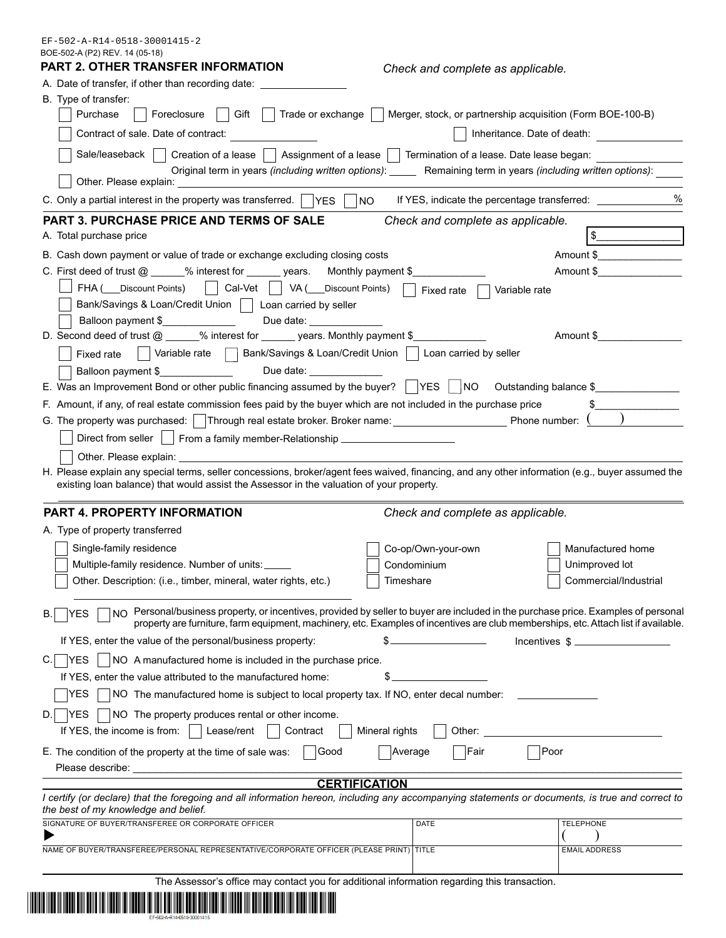EF-502-A-R14-0518-30001415-2

| BOE-502-A (P2) REV. 14 (05-18)<br>PART 2. OTHER TRANSFER INFORMATION                                                                                                                                                                                                                                                                  |                                                                                  |                          |  |  |  |
|---------------------------------------------------------------------------------------------------------------------------------------------------------------------------------------------------------------------------------------------------------------------------------------------------------------------------------------|----------------------------------------------------------------------------------|--------------------------|--|--|--|
|                                                                                                                                                                                                                                                                                                                                       | Check and complete as applicable.                                                |                          |  |  |  |
| A. Date of transfer, if other than recording date: ____<br>B. Type of transfer:                                                                                                                                                                                                                                                       |                                                                                  |                          |  |  |  |
| Purchase<br>Gift    <br>Foreclosure                                                                                                                                                                                                                                                                                                   | Trade or exchange     Merger, stock, or partnership acquisition (Form BOE-100-B) |                          |  |  |  |
| Contract of sale. Date of contract:                                                                                                                                                                                                                                                                                                   | Inheritance. Date of death:                                                      |                          |  |  |  |
| Sale/leaseback<br>Creation of a lease     Assignment of a lease     Termination of a lease. Date lease began:                                                                                                                                                                                                                         |                                                                                  |                          |  |  |  |
| Original term in years (including written options): ______ Remaining term in years (including written options):<br>Other. Please explain:                                                                                                                                                                                             |                                                                                  |                          |  |  |  |
| C. Only a partial interest in the property was transferred. $\Box$ YES<br>NO                                                                                                                                                                                                                                                          | If YES, indicate the percentage transferred: ___________________________________ | $\%$                     |  |  |  |
| <b>PART 3. PURCHASE PRICE AND TERMS OF SALE</b>                                                                                                                                                                                                                                                                                       | Check and complete as applicable.                                                |                          |  |  |  |
| A. Total purchase price                                                                                                                                                                                                                                                                                                               |                                                                                  |                          |  |  |  |
| B. Cash down payment or value of trade or exchange excluding closing costs                                                                                                                                                                                                                                                            |                                                                                  | Amount \$                |  |  |  |
| C. First deed of trust @ _____% interest for ______ years. Monthly payment \$                                                                                                                                                                                                                                                         |                                                                                  | Amount \$                |  |  |  |
| FHA ( Discount Points)     Cal-Vet     VA ( Discount Points)                                                                                                                                                                                                                                                                          |                                                                                  |                          |  |  |  |
|                                                                                                                                                                                                                                                                                                                                       | Fixed rate<br>Variable rate                                                      |                          |  |  |  |
| Bank/Savings & Loan/Credit Union     Loan carried by seller                                                                                                                                                                                                                                                                           |                                                                                  |                          |  |  |  |
| Balloon payment \$<br>Due date: and the state of the state of the state of the state of the state of the state of the state of the state of the state of the state of the state of the state of the state of the state of the state of the state of<br>D. Second deed of trust @ _____% interest for ______ years. Monthly payment \$ |                                                                                  | Amount \$                |  |  |  |
|                                                                                                                                                                                                                                                                                                                                       |                                                                                  |                          |  |  |  |
| Variable rate     Bank/Savings & Loan/Credit Union     Loan carried by seller<br>Fixed rate                                                                                                                                                                                                                                           |                                                                                  |                          |  |  |  |
| Due date: ____________<br>Balloon payment \$                                                                                                                                                                                                                                                                                          |                                                                                  |                          |  |  |  |
| E. Was an Improvement Bond or other public financing assumed by the buyer? $\vert$ YES $\vert$ NO Outstanding balance \$                                                                                                                                                                                                              |                                                                                  |                          |  |  |  |
| F. Amount, if any, of real estate commission fees paid by the buyer which are not included in the purchase price                                                                                                                                                                                                                      |                                                                                  |                          |  |  |  |
| G. The property was purchased:   Through real estate broker. Broker name: __________________________ Phone number: \                                                                                                                                                                                                                  |                                                                                  |                          |  |  |  |
| Direct from seller     From a family member-Relationship _______________________                                                                                                                                                                                                                                                      |                                                                                  |                          |  |  |  |
| Other. Please explain: example and the state of the state of the state of the state of the state of the state o                                                                                                                                                                                                                       |                                                                                  |                          |  |  |  |
| H. Please explain any special terms, seller concessions, broker/agent fees waived, financing, and any other information (e.g., buyer assumed the<br>existing loan balance) that would assist the Assessor in the valuation of your property.                                                                                          |                                                                                  |                          |  |  |  |
| PART 4. PROPERTY INFORMATION                                                                                                                                                                                                                                                                                                          | Check and complete as applicable.                                                |                          |  |  |  |
| A. Type of property transferred                                                                                                                                                                                                                                                                                                       |                                                                                  |                          |  |  |  |
| Single-family residence                                                                                                                                                                                                                                                                                                               | Co-op/Own-your-own                                                               | Manufactured home        |  |  |  |
| Multiple-family residence. Number of units:                                                                                                                                                                                                                                                                                           | Condominium                                                                      | Unimproved lot           |  |  |  |
| Other. Description: (i.e., timber, mineral, water rights, etc.)                                                                                                                                                                                                                                                                       | Timeshare                                                                        | Commercial/Industrial    |  |  |  |
|                                                                                                                                                                                                                                                                                                                                       |                                                                                  |                          |  |  |  |
| NO Personal/business property, or incentives, provided by seller to buyer are included in the purchase price. Examples of personal<br><b>YES</b><br>В.<br>property are furniture, farm equipment, machinery, etc. Examples of incentives are club memberships, etc. Attach list if available.                                         |                                                                                  |                          |  |  |  |
| If YES, enter the value of the personal/business property:<br>S                                                                                                                                                                                                                                                                       |                                                                                  | Incentives $\frac{1}{2}$ |  |  |  |
| <b>YES</b><br>NO A manufactured home is included in the purchase price.<br>C.                                                                                                                                                                                                                                                         |                                                                                  |                          |  |  |  |
| If YES, enter the value attributed to the manufactured home:                                                                                                                                                                                                                                                                          |                                                                                  |                          |  |  |  |
| YES<br>NO The manufactured home is subject to local property tax. If NO, enter decal number:                                                                                                                                                                                                                                          |                                                                                  |                          |  |  |  |
| $ {\sf YES} $<br>NO The property produces rental or other income.<br>D.                                                                                                                                                                                                                                                               |                                                                                  |                          |  |  |  |
| If YES, the income is from:<br>Lease/rent<br>Contract<br>Mineral rights                                                                                                                                                                                                                                                               | Other:                                                                           |                          |  |  |  |
|                                                                                                                                                                                                                                                                                                                                       |                                                                                  |                          |  |  |  |
| E. The condition of the property at the time of sale was:<br>Good                                                                                                                                                                                                                                                                     | Fair<br>Poor<br>Average                                                          |                          |  |  |  |
|                                                                                                                                                                                                                                                                                                                                       |                                                                                  |                          |  |  |  |
| <b>CERTIFICATION</b>                                                                                                                                                                                                                                                                                                                  |                                                                                  |                          |  |  |  |
| I certify (or declare) that the foregoing and all information hereon, including any accompanying statements or documents, is true and correct to<br>the best of my knowledge and belief.                                                                                                                                              |                                                                                  |                          |  |  |  |
| SIGNATURE OF BUYER/TRANSFEREE OR CORPORATE OFFICER                                                                                                                                                                                                                                                                                    | DATE                                                                             | <b>TELEPHONE</b>         |  |  |  |
|                                                                                                                                                                                                                                                                                                                                       |                                                                                  |                          |  |  |  |
| NAME OF BUYER/TRANSFEREE/PERSONAL REPRESENTATIVE/CORPORATE OFFICER (PLEASE PRINT) TITLE                                                                                                                                                                                                                                               |                                                                                  | <b>EMAIL ADDRESS</b>     |  |  |  |
| The Assessor's office may contact you for additional information regarding this transaction.                                                                                                                                                                                                                                          |                                                                                  |                          |  |  |  |

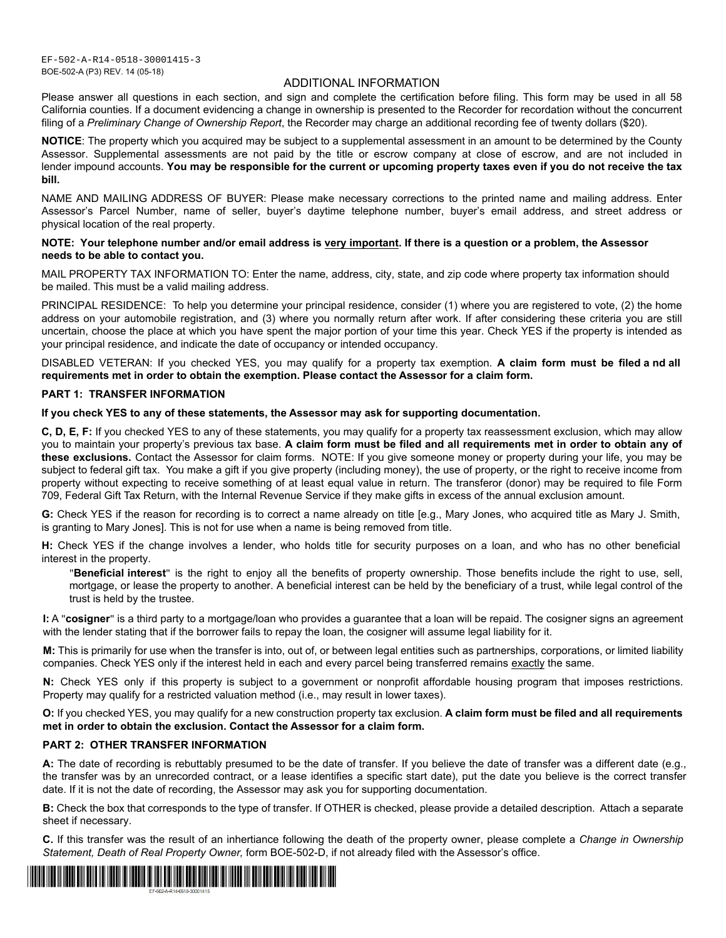# ADDITIONAL INFORMATION

Please answer all questions in each section, and sign and complete the certification before filing. This form may be used in all 58 California counties. If a document evidencing a change in ownership is presented to the Recorder for recordation without the concurrent filing of a Preliminary Change of Ownership Report, the Recorder may charge an additional recording fee of twenty dollars (\$20).

**NOTICE**: The property which you acquired may be subject to a supplemental assessment in an amount to be determined by the County Assessor. Supplemental assessments are not paid by the title or escrow company at close of escrow, and are not included in lender impound accounts. You may be responsible for the current or upcoming property taxes even if you do not receive the tax **bill.**

NAME AND MAILING ADDRESS OF BUYER: Please make necessary corrections to the printed name and mailing address. Enter Assessor's Parcel Number, name of seller, buyer's daytime telephone number, buyer's email address, and street address or physical location of the real property.

### **NOTE: Your telephone number and/or email address is very important. If there is a question or a problem, the Assessor needs to be able to contact you.**

MAIL PROPERTY TAX INFORMATION TO: Enter the name, address, city, state, and zip code where property tax information should be mailed. This must be a valid mailing address.

PRINCIPAL RESIDENCE: To help you determine your principal residence, consider (1) where you are registered to vote, (2) the home address on your automobile registration, and (3) where you normally return after work. If after considering these criteria you are still uncertain, choose the place at which you have spent the major portion of your time this year. Check YES if the property is intended as your principal residence, and indicate the date of occupancy or intended occupancy.

DISABLED VETERAN: If you checked YES, you may qualify for a property tax exemption. A claim form must be filed a nd all **requirements met in order to obtain the exemption. Please contact the Assessor for a claim form.**

### **PART 1: TRANSFER INFORMATION**

## **If you check YES to any of these statements, the Assessor may ask for supporting documentation.**

**C, D, E, F:** If you checked YES to any of these statements, you may qualify for a property tax reassessment exclusion, which may allow you to maintain your property's previous tax base. A claim form must be filed and all requirements met in order to obtain any of **these exclusions.** Contact the Assessor for claim forms. NOTE: If you give someone money or property during your life, you may be subject to federal gift tax. You make a gift if you give property (including money), the use of property, or the right to receive income from property without expecting to receive something of at least equal value in return. The transferor (donor) may be required to file Form 709, Federal Gift Tax Return, with the Internal Revenue Service if they make gifts in excess of the annual exclusion amount.

G: Check YES if the reason for recording is to correct a name already on title [e.g., Mary Jones, who acquired title as Mary J. Smith, is granting to Mary Jones]. This is not for use when a name is being removed from title.

H: Check YES if the change involves a lender, who holds title for security purposes on a loan, and who has no other beneficial interest in the property.

"Beneficial interest" is the right to enjoy all the benefits of property ownership. Those benefits include the right to use, sell, mortgage, or lease the property to another. A beneficial interest can be held by the beneficiary of a trust, while legal control of the trust is held by the trustee.

**I:** A "cosigner" is a third party to a mortgage/loan who provides a guarantee that a loan will be repaid. The cosigner signs an agreement with the lender stating that if the borrower fails to repay the loan, the cosigner will assume legal liability for it.

M: This is primarily for use when the transfer is into, out of, or between legal entities such as partnerships, corporations, or limited liability companies. Check YES only if the interest held in each and every parcel being transferred remains exactly the same.

**N:** Check YES only if this property is subject to a government or nonprofit affordable housing program that imposes restrictions. Property may qualify for a restricted valuation method (i.e., may result in lower taxes).

**O:** If you checked YES, you may qualify for a new construction property tax exclusion. **A claim form must be filed and all requirements met in order to obtain the exclusion. Contact the Assessor for a claim form.**

### **PART 2: OTHER TRANSFER INFORMATION**

A: The date of recording is rebuttably presumed to be the date of transfer. If you believe the date of transfer was a different date (e.g., the transfer was by an unrecorded contract, or a lease identifies a specific start date), put the date you believe is the correct transfer date. If it is not the date of recording, the Assessor may ask you for supporting documentation.

**B:** Check the box that corresponds to the type of transfer. If OTHER is checked, please provide a detailed description. Attach a separate sheet if necessary.

**C.** If this transfer was the result of an inhertiance following the death of the property owner, please complete a Change in Ownership Statement, Death of Real Property Owner, form BOE-502-D, if not already filed with the Assessor's office.